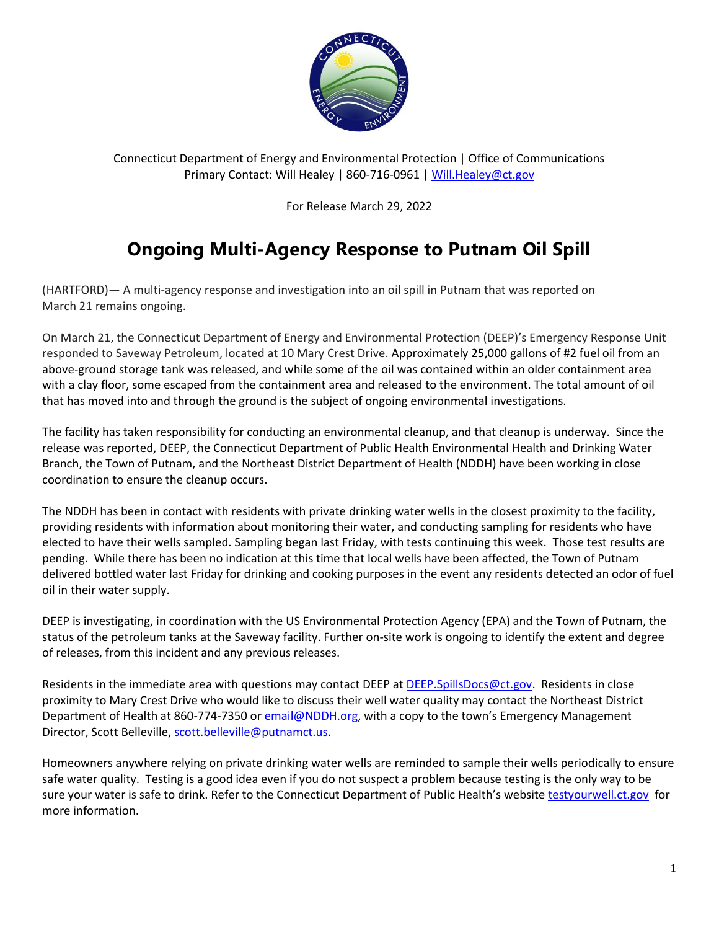

Connecticut Department of Energy and Environmental Protection | Office of Communications Primary Contact: Will Healey | 860-716-0961 [| Will.Healey@ct.gov](mailto:Will.Healey@ct.gov)

For Release March 29, 2022

## **Ongoing Multi-Agency Response to Putnam Oil Spill**

(HARTFORD)— A multi-agency response and investigation into an oil spill in Putnam that was reported on March 21 remains ongoing.

On March 21, the Connecticut Department of Energy and Environmental Protection (DEEP)'s Emergency Response Unit responded to Saveway Petroleum, located at 10 Mary Crest Drive. Approximately 25,000 gallons of #2 fuel oil from an above-ground storage tank was released, and while some of the oil was contained within an older containment area with a clay floor, some escaped from the containment area and released to the environment. The total amount of oil that has moved into and through the ground is the subject of ongoing environmental investigations.

The facility has taken responsibility for conducting an environmental cleanup, and that cleanup is underway. Since the release was reported, DEEP, the Connecticut Department of Public Health Environmental Health and Drinking Water Branch, the Town of Putnam, and the Northeast District Department of Health (NDDH) have been working in close coordination to ensure the cleanup occurs.

The NDDH has been in contact with residents with private drinking water wells in the closest proximity to the facility, providing residents with information about monitoring their water, and conducting sampling for residents who have elected to have their wells sampled. Sampling began last Friday, with tests continuing this week. Those test results are pending. While there has been no indication at this time that local wells have been affected, the Town of Putnam delivered bottled water last Friday for drinking and cooking purposes in the event any residents detected an odor of fuel oil in their water supply.

DEEP is investigating, in coordination with the US Environmental Protection Agency (EPA) and the Town of Putnam, the status of the petroleum tanks at the Saveway facility. Further on-site work is ongoing to identify the extent and degree of releases, from this incident and any previous releases.

Residents in the immediate area with questions may contact DEEP at [DEEP.SpillsDocs@ct.gov.](mailto:DEEP.SpillsDocs@ct.gov) Residents in close proximity to Mary Crest Drive who would like to discuss their well water quality may contact the Northeast District Department of Health at 860-774-7350 or [email@NDDH.org](mailto:email@NDDH.org), with a copy to the town's Emergency Management Director, Scott Belleville[, scott.belleville@putnamct.us.](mailto:scott.belleville@putnamct.us)

Homeowners anywhere relying on private drinking water wells are reminded to sample their wells periodically to ensure safe water quality. Testing is a good idea even if you do not suspect a problem because testing is the only way to be sure your water is safe to drink. Refer to the Connecticut Department of Public Health's websit[e testyourwell.ct.gov](https://testyourwell.ct.gov/) for more information.